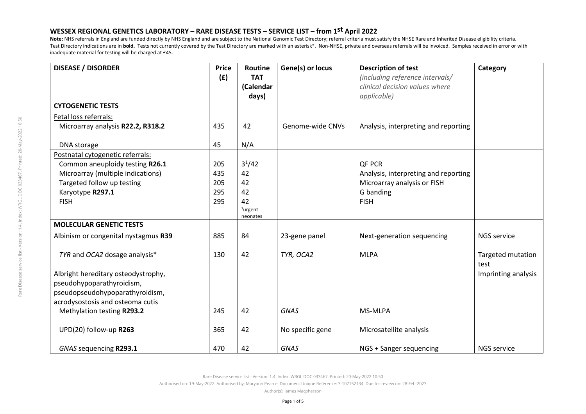**Note:** NHS referrals in England are funded directly by NHS England and are subject to the National Genomic Test Directory; referral criteria must satisfy the NHSE Rare and Inherited Disease eligibility criteria. Test Directory indications are in **bold.** Tests not currently covered by the Test Directory are marked with an asterisk\*. Non-NHSE, private and overseas referrals will be invoiced. Samples received in error or with inadequate material for testing will be charged at £45.

| <b>DISEASE / DISORDER</b>            | <b>Price</b> | Routine    | Gene(s) or locus | <b>Description of test</b>           | Category            |
|--------------------------------------|--------------|------------|------------------|--------------------------------------|---------------------|
|                                      | (E)          | <b>TAT</b> |                  | (including reference intervals/      |                     |
|                                      |              | (Calendar  |                  | clinical decision values where       |                     |
|                                      |              | days)      |                  | applicable)                          |                     |
| <b>CYTOGENETIC TESTS</b>             |              |            |                  |                                      |                     |
| Fetal loss referrals:                |              |            |                  |                                      |                     |
| Microarray analysis R22.2, R318.2    | 435          | 42         | Genome-wide CNVs | Analysis, interpreting and reporting |                     |
| DNA storage                          | 45           | N/A        |                  |                                      |                     |
| Postnatal cytogenetic referrals:     |              |            |                  |                                      |                     |
| Common aneuploidy testing R26.1      | 205          | $3^{1}/42$ |                  | QF PCR                               |                     |
| Microarray (multiple indications)    | 435          | 42         |                  | Analysis, interpreting and reporting |                     |
| Targeted follow up testing           | 205          | 42         |                  | Microarray analysis or FISH          |                     |
| Karyotype R297.1                     | 295          | 42         |                  | G banding                            |                     |
| <b>FISH</b>                          | 295          | 42         |                  | <b>FISH</b>                          |                     |
|                                      |              | $1$ urgent |                  |                                      |                     |
|                                      |              | neonates   |                  |                                      |                     |
| <b>MOLECULAR GENETIC TESTS</b>       |              |            |                  |                                      |                     |
| Albinism or congenital nystagmus R39 | 885          | 84         | 23-gene panel    | Next-generation sequencing           | NGS service         |
| TYR and OCA2 dosage analysis*        | 130          | 42         | TYR, OCA2        | <b>MLPA</b>                          | Targeted mutation   |
|                                      |              |            |                  |                                      | test                |
| Albright hereditary osteodystrophy,  |              |            |                  |                                      | Imprinting analysis |
| pseudohypoparathyroidism,            |              |            |                  |                                      |                     |
| pseudopseudohypoparathyroidism,      |              |            |                  |                                      |                     |
| acrodysostosis and osteoma cutis     |              |            |                  |                                      |                     |
| Methylation testing R293.2           | 245          | 42         | <b>GNAS</b>      | MS-MLPA                              |                     |
| UPD(20) follow-up R263               | 365          | 42         | No specific gene | Microsatellite analysis              |                     |
| GNAS sequencing R293.1               | 470          | 42         | <b>GNAS</b>      | NGS + Sanger sequencing              | <b>NGS service</b>  |

Rare Disease service list - Version: 1.4. Index: WRGL DOC 033467. Printed: 20-May-2022 10:50

Authorised on: 19-May-2022. Authorised by: Maryann Pearce. Document Unique Reference: 3-107152134. Due for review on: 28-Feb-2023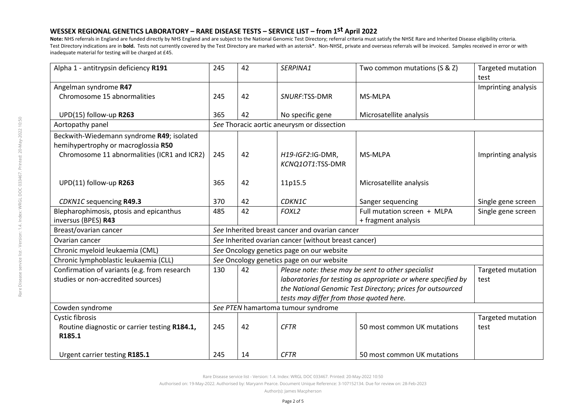**Note:** NHS referrals in England are funded directly by NHS England and are subject to the National Genomic Test Directory; referral criteria must satisfy the NHSE Rare and Inherited Disease eligibility criteria. Test Directory indications are in **bold.** Tests not currently covered by the Test Directory are marked with an asterisk\*. Non-NHSE, private and overseas referrals will be invoiced. Samples received in error or with inadequate material for testing will be charged at £45.

| Alpha 1 - antitrypsin deficiency R191         | 245                                                  | 42 | SERPINA1                                                      | Two common mutations (S & Z) | Targeted mutation<br>test |  |  |
|-----------------------------------------------|------------------------------------------------------|----|---------------------------------------------------------------|------------------------------|---------------------------|--|--|
| Angelman syndrome R47                         |                                                      |    |                                                               |                              | Imprinting analysis       |  |  |
| Chromosome 15 abnormalities                   | 245                                                  | 42 | SNURF:TSS-DMR                                                 | MS-MLPA                      |                           |  |  |
|                                               |                                                      |    |                                                               |                              |                           |  |  |
| UPD(15) follow-up R263                        | 365                                                  | 42 | No specific gene                                              | Microsatellite analysis      |                           |  |  |
| Aortopathy panel                              | See Thoracic aortic aneurysm or dissection           |    |                                                               |                              |                           |  |  |
| Beckwith-Wiedemann syndrome R49; isolated     |                                                      |    |                                                               |                              |                           |  |  |
| hemihypertrophy or macroglossia R50           |                                                      |    |                                                               |                              |                           |  |  |
| Chromosome 11 abnormalities (ICR1 and ICR2)   | 245                                                  | 42 | H19-IGF2:IG-DMR,                                              | MS-MLPA                      | Imprinting analysis       |  |  |
|                                               |                                                      |    | KCNQ1OT1:TSS-DMR                                              |                              |                           |  |  |
|                                               |                                                      |    |                                                               |                              |                           |  |  |
| UPD(11) follow-up R263                        | 365                                                  | 42 | 11p15.5                                                       | Microsatellite analysis      |                           |  |  |
|                                               |                                                      |    |                                                               |                              |                           |  |  |
| <b>CDKN1C</b> sequencing R49.3                | 370                                                  | 42 | CDKN1C                                                        | Sanger sequencing            | Single gene screen        |  |  |
| Blepharophimosis, ptosis and epicanthus       | 485                                                  | 42 | FOXL2                                                         | Full mutation screen + MLPA  | Single gene screen        |  |  |
| inversus (BPES) R43                           |                                                      |    |                                                               | + fragment analysis          |                           |  |  |
| Breast/ovarian cancer                         | See Inherited breast cancer and ovarian cancer       |    |                                                               |                              |                           |  |  |
| Ovarian cancer                                | See Inherited ovarian cancer (without breast cancer) |    |                                                               |                              |                           |  |  |
| Chronic myeloid leukaemia (CML)               | See Oncology genetics page on our website            |    |                                                               |                              |                           |  |  |
| Chronic lymphoblastic leukaemia (CLL)         | See Oncology genetics page on our website            |    |                                                               |                              |                           |  |  |
| Confirmation of variants (e.g. from research  | 130                                                  | 42 | Please note: these may be sent to other specialist            |                              | <b>Targeted mutation</b>  |  |  |
| studies or non-accredited sources)            |                                                      |    | laboratories for testing as appropriate or where specified by | test                         |                           |  |  |
|                                               |                                                      |    | the National Genomic Test Directory; prices for outsourced    |                              |                           |  |  |
|                                               |                                                      |    | tests may differ from those quoted here.                      |                              |                           |  |  |
| Cowden syndrome                               | See PTEN hamartoma tumour syndrome                   |    |                                                               |                              |                           |  |  |
| <b>Cystic fibrosis</b>                        |                                                      |    |                                                               |                              | Targeted mutation         |  |  |
| Routine diagnostic or carrier testing R184.1, | 245                                                  | 42 | <b>CFTR</b>                                                   | 50 most common UK mutations  | test                      |  |  |
| R185.1                                        |                                                      |    |                                                               |                              |                           |  |  |
|                                               |                                                      |    |                                                               |                              |                           |  |  |
| Urgent carrier testing R185.1                 | 245                                                  | 14 | <b>CFTR</b>                                                   | 50 most common UK mutations  |                           |  |  |

Rare Disease service list - Version: 1.4. Index: WRGL DOC 033467. Printed: 20-May-2022 10:50

Authorised on: 19-May-2022. Authorised by: Maryann Pearce. Document Unique Reference: 3-107152134. Due for review on: 28-Feb-2023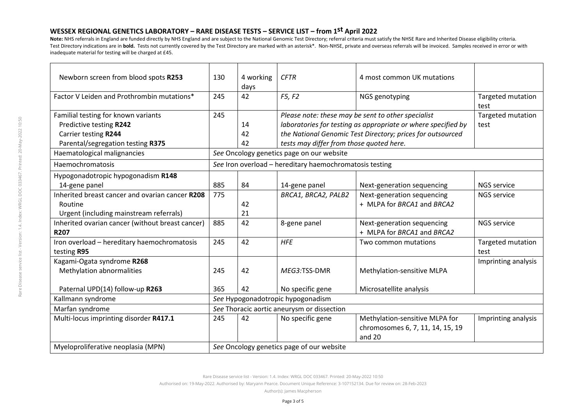**Note:** NHS referrals in England are funded directly by NHS England and are subject to the National Genomic Test Directory; referral criteria must satisfy the NHSE Rare and Inherited Disease eligibility criteria. Test Directory indications are in bold. Tests not currently covered by the Test Directory are marked with an asterisk\*. Non-NHSE, private and overseas referrals will be invoiced. Samples received in error or with inadequate material for testing will be charged at £45.

| Newborn screen from blood spots R253             | 130                                                     | 4 working<br>days | <b>CFTR</b>                                                   | 4 most common UK mutations                         |                           |  |
|--------------------------------------------------|---------------------------------------------------------|-------------------|---------------------------------------------------------------|----------------------------------------------------|---------------------------|--|
| Factor V Leiden and Prothrombin mutations*       | 245                                                     | 42                | F5, F2                                                        | NGS genotyping                                     | Targeted mutation<br>test |  |
| Familial testing for known variants              | 245                                                     |                   |                                                               | Please note: these may be sent to other specialist | Targeted mutation         |  |
| Predictive testing R242                          |                                                         | 14                | laboratories for testing as appropriate or where specified by |                                                    | test                      |  |
| Carrier testing R244                             |                                                         | 42                | the National Genomic Test Directory; prices for outsourced    |                                                    |                           |  |
| Parental/segregation testing R375                |                                                         | 42                | tests may differ from those quoted here.                      |                                                    |                           |  |
| Haematological malignancies                      | See Oncology genetics page on our website               |                   |                                                               |                                                    |                           |  |
| Haemochromatosis                                 | See Iron overload - hereditary haemochromatosis testing |                   |                                                               |                                                    |                           |  |
| Hypogonadotropic hypogonadism R148               |                                                         |                   |                                                               |                                                    |                           |  |
| 14-gene panel                                    | 885                                                     | 84                | 14-gene panel                                                 | Next-generation sequencing                         | <b>NGS service</b>        |  |
| Inherited breast cancer and ovarian cancer R208  | 775                                                     |                   | BRCA1, BRCA2, PALB2                                           | Next-generation sequencing                         | <b>NGS service</b>        |  |
| Routine                                          |                                                         | 42                |                                                               | + MLPA for BRCA1 and BRCA2                         |                           |  |
| Urgent (including mainstream referrals)          |                                                         | 21                |                                                               |                                                    |                           |  |
| Inherited ovarian cancer (without breast cancer) | 885                                                     | 42                | 8-gene panel                                                  | Next-generation sequencing                         | <b>NGS service</b>        |  |
| <b>R207</b>                                      |                                                         |                   |                                                               | + MLPA for BRCA1 and BRCA2                         |                           |  |
| Iron overload - hereditary haemochromatosis      | 245                                                     | 42                | <b>HFE</b>                                                    | Two common mutations                               | Targeted mutation         |  |
| testing R95                                      |                                                         |                   |                                                               |                                                    | test                      |  |
| Kagami-Ogata syndrome R268                       |                                                         |                   |                                                               |                                                    | Imprinting analysis       |  |
| Methylation abnormalities                        | 245                                                     | 42                | MEG3:TSS-DMR                                                  | Methylation-sensitive MLPA                         |                           |  |
|                                                  |                                                         |                   |                                                               |                                                    |                           |  |
| Paternal UPD(14) follow-up R263                  | 365                                                     | 42                | No specific gene                                              | Microsatellite analysis                            |                           |  |
| Kallmann syndrome                                | See Hypogonadotropic hypogonadism                       |                   |                                                               |                                                    |                           |  |
| Marfan syndrome                                  | See Thoracic aortic aneurysm or dissection              |                   |                                                               |                                                    |                           |  |
| Multi-locus imprinting disorder R417.1           | 245                                                     | 42                | No specific gene                                              | Methylation-sensitive MLPA for                     | Imprinting analysis       |  |
|                                                  |                                                         |                   |                                                               | chromosomes 6, 7, 11, 14, 15, 19                   |                           |  |
|                                                  |                                                         |                   |                                                               | and 20                                             |                           |  |
| Myeloproliferative neoplasia (MPN)               | See Oncology genetics page of our website               |                   |                                                               |                                                    |                           |  |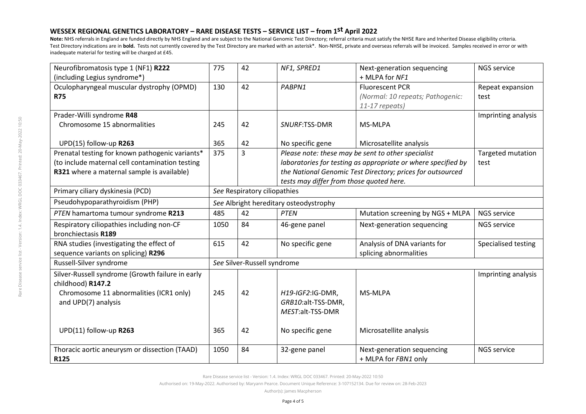**Note:** NHS referrals in England are funded directly by NHS England and are subject to the National Genomic Test Directory; referral criteria must satisfy the NHSE Rare and Inherited Disease eligibility criteria. Test Directory indications are in **bold.** Tests not currently covered by the Test Directory are marked with an asterisk\*. Non-NHSE, private and overseas referrals will be invoiced. Samples received in error or with inadequate material for testing will be charged at £45.

| Neurofibromatosis type 1 (NF1) R222              | 775                                    | 42 | NF1, SPRED1                                                   | Next-generation sequencing       | <b>NGS service</b>  |  |
|--------------------------------------------------|----------------------------------------|----|---------------------------------------------------------------|----------------------------------|---------------------|--|
| (including Legius syndrome*)                     |                                        |    |                                                               | + MLPA for NF1                   |                     |  |
| Oculopharyngeal muscular dystrophy (OPMD)        | 130                                    | 42 | PABPN1                                                        | <b>Fluorescent PCR</b>           | Repeat expansion    |  |
| <b>R75</b>                                       |                                        |    |                                                               | (Normal: 10 repeats; Pathogenic: | test                |  |
|                                                  |                                        |    |                                                               | 11-17 repeats)                   |                     |  |
| Prader-Willi syndrome R48                        |                                        |    |                                                               |                                  | Imprinting analysis |  |
| Chromosome 15 abnormalities                      | 245                                    | 42 | SNURF:TSS-DMR                                                 | MS-MLPA                          |                     |  |
|                                                  |                                        |    |                                                               |                                  |                     |  |
| UPD(15) follow-up R263                           | 365                                    | 42 | No specific gene                                              | Microsatellite analysis          |                     |  |
| Prenatal testing for known pathogenic variants*  | 375                                    | 3  | Please note: these may be sent to other specialist            |                                  | Targeted mutation   |  |
| (to include maternal cell contamination testing  |                                        |    | laboratories for testing as appropriate or where specified by | test                             |                     |  |
| R321 where a maternal sample is available)       |                                        |    | the National Genomic Test Directory; prices for outsourced    |                                  |                     |  |
|                                                  |                                        |    | tests may differ from those quoted here.                      |                                  |                     |  |
| Primary ciliary dyskinesia (PCD)                 | See Respiratory ciliopathies           |    |                                                               |                                  |                     |  |
| Pseudohypoparathyroidism (PHP)                   | See Albright hereditary osteodystrophy |    |                                                               |                                  |                     |  |
| PTEN hamartoma tumour syndrome R213              | 485                                    | 42 | <b>PTEN</b>                                                   | Mutation screening by NGS + MLPA | NGS service         |  |
| Respiratory ciliopathies including non-CF        | 1050                                   | 84 | 46-gene panel                                                 | Next-generation sequencing       | NGS service         |  |
| bronchiectasis R189                              |                                        |    |                                                               |                                  |                     |  |
| RNA studies (investigating the effect of         | 615                                    | 42 | No specific gene                                              | Analysis of DNA variants for     | Specialised testing |  |
| sequence variants on splicing) R296              |                                        |    |                                                               | splicing abnormalities           |                     |  |
| Russell-Silver syndrome                          | See Silver-Russell syndrome            |    |                                                               |                                  |                     |  |
| Silver-Russell syndrome (Growth failure in early |                                        |    |                                                               |                                  | Imprinting analysis |  |
| childhood) R147.2                                |                                        |    |                                                               |                                  |                     |  |
| Chromosome 11 abnormalities (ICR1 only)          | 245                                    | 42 | H19-IGF2:IG-DMR,                                              | MS-MLPA                          |                     |  |
| and UPD(7) analysis                              |                                        |    | GRB10:alt-TSS-DMR,                                            |                                  |                     |  |
|                                                  |                                        |    | MEST:alt-TSS-DMR                                              |                                  |                     |  |
|                                                  |                                        |    |                                                               |                                  |                     |  |
| UPD(11) follow-up R263                           | 365                                    | 42 | No specific gene                                              | Microsatellite analysis          |                     |  |
|                                                  |                                        |    |                                                               |                                  |                     |  |
| Thoracic aortic aneurysm or dissection (TAAD)    | 1050                                   | 84 | 32-gene panel                                                 | Next-generation sequencing       | <b>NGS service</b>  |  |
| R125                                             |                                        |    |                                                               | + MLPA for FBN1 only             |                     |  |

Rare Disease service list - Version: 1.4. Index: WRGL DOC 033467. Printed: 20-May-2022 10:50

Authorised on: 19-May-2022. Authorised by: Maryann Pearce. Document Unique Reference: 3-107152134. Due for review on: 28-Feb-2023